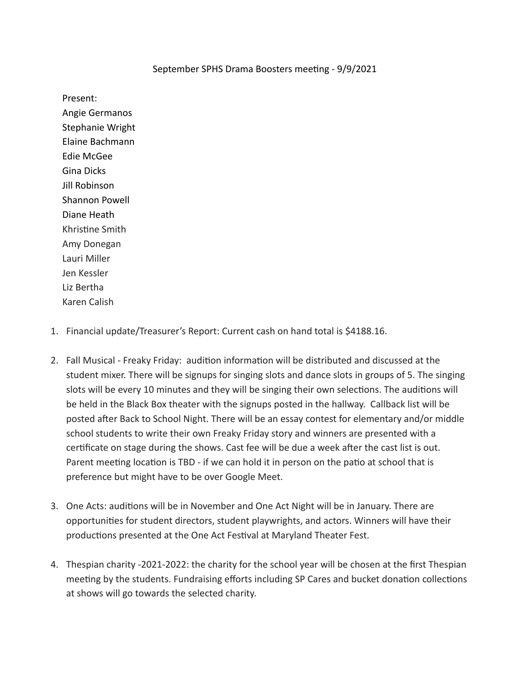## September SPHS Drama Boosters meeting - 9/9/2021

Present:

Angie Germanos Stephanie Wright Elaine Bachmann Edie McGee Gina Dicks Jill Robinson Shannon Powell Diane Heath Khristine Smith Amy Donegan Lauri Miller Jen Kessler Liz Bertha Karen Calish

- 1. Financial update/Treasurer's Report: Current cash on hand total is \$4188.16.
- 2. Fall Musical Freaky Friday: audition information will be distributed and discussed at the student mixer. There will be signups for singing slots and dance slots in groups of 5. The singing slots will be every 10 minutes and they will be singing their own selections. The auditions will be held in the Black Box theater with the signups posted in the hallway. Callback list will be posted after Back to School Night. There will be an essay contest for elementary and/or middle school students to write their own Freaky Friday story and winners are presented with a certificate on stage during the shows. Cast fee will be due a week after the cast list is out. Parent meeting location is TBD - if we can hold it in person on the patio at school that is preference but might have to be over Google Meet.
- 3. One Acts: auditions will be in November and One Act Night will be in January. There are opportunies for student directors, student playwrights, and actors. Winners will have their productions presented at the One Act Festival at Maryland Theater Fest.
- 4. Thespian charity -2021-2022: the charity for the school year will be chosen at the first Thespian meeting by the students. Fundraising efforts including SP Cares and bucket donation collections at shows will go towards the selected charity.